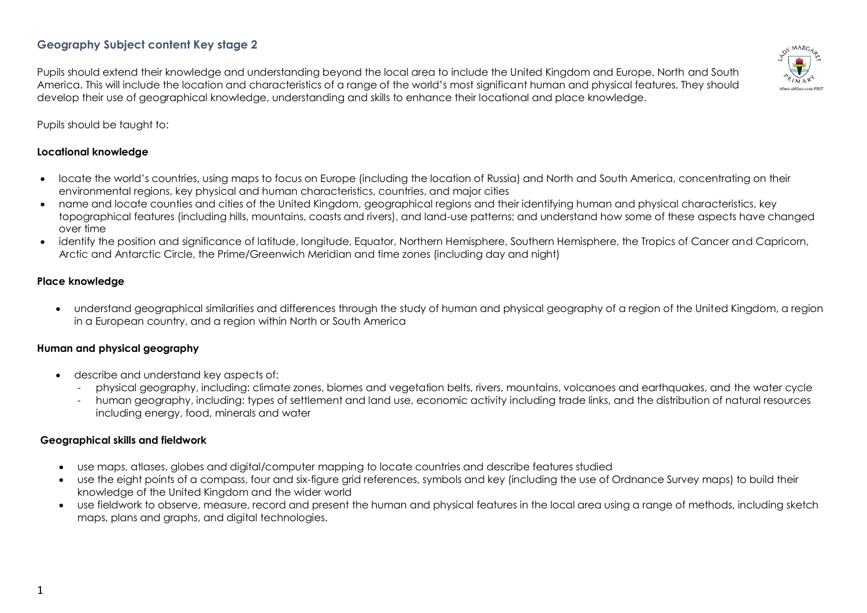### **Geography Subject content Key stage 2**

Pupils should extend their knowledge and understanding beyond the local area to include the United Kingdom and Europe, North and South America. This will include the location and characteristics of a range of the world's most significant human and physical features. They should develop their use of geographical knowledge, understanding and skills to enhance their locational and place knowledge.

Pupils should be taught to:

#### **Locational knowledge**

- locate the world's countries, using maps to focus on Europe (including the location of Russia) and North and South America, concentrating on their environmental regions, key physical and human characteristics, countries, and major cities
- name and locate counties and cities of the United Kingdom, geographical regions and their identifying human and physical characteristics, key topographical features (including hills, mountains, coasts and rivers), and land-use patterns; and understand how some of these aspects have changed over time
- identify the position and significance of latitude, longitude, Equator, Northern Hemisphere, Southern Hemisphere, the Tropics of Cancer and Capricorn, Arctic and Antarctic Circle, the Prime/Greenwich Meridian and time zones (including day and night)

### **Place knowledge**

 understand geographical similarities and differences through the study of human and physical geography of a region of the United Kingdom, a region in a European country, and a region within North or South America

### **Human and physical geography**

- describe and understand key aspects of:
	- physical geography, including: climate zones, biomes and vegetation belts, rivers, mountains, volcanoes and earthquakes, and the water cycle
	- human geography, including: types of settlement and land use, economic activity including trade links, and the distribution of natural resources including energy, food, minerals and water

### **Geographical skills and fieldwork**

- use maps, atlases, globes and digital/computer mapping to locate countries and describe features studied
- use the eight points of a compass, four and six-figure grid references, symbols and key (including the use of Ordnance Survey maps) to build their knowledge of the United Kingdom and the wider world
- use fieldwork to observe, measure, record and present the human and physical features in the local area using a range of methods, including sketch maps, plans and graphs, and digital technologies.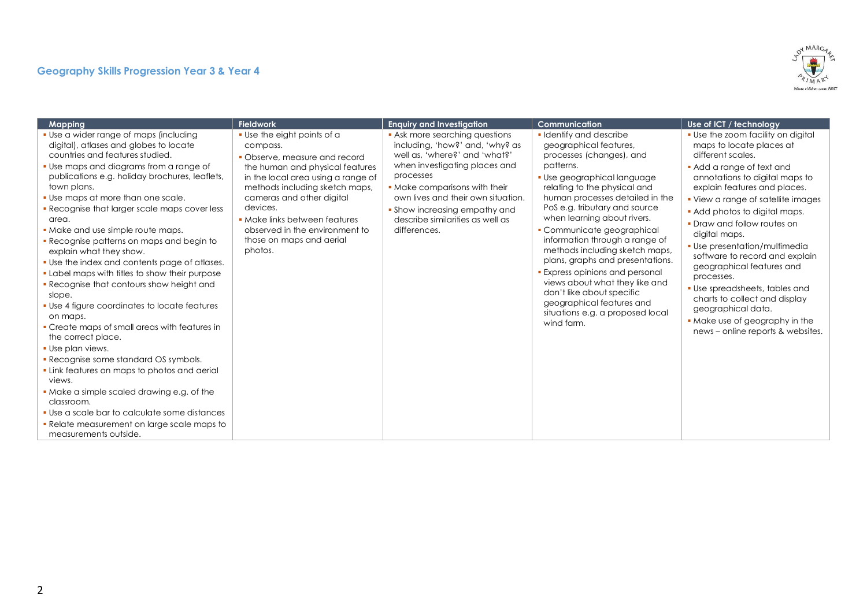## **Geography Skills Progression Year 3 & Year 4**



| <b>Mapping</b>                                                                                                                                                                                                                                                                                                                                                                                                                                                                                                                                                                                                                                                                                                                                                                                                                                                                                                                                                                                                                                  | <b>Fieldwork</b>                                                                                                                                                                                                                                                                                                                       | <b>Enquiry and Investigation</b>                                                                                                                                                                                                                                                                             | Communication                                                                                                                                                                                                                                                                                                                                                                                                                                                                                                                                                                            | Use of ICT / technology                                                                                                                                                                                                                                                                                                                                                                                                                                                                                                                                                                 |
|-------------------------------------------------------------------------------------------------------------------------------------------------------------------------------------------------------------------------------------------------------------------------------------------------------------------------------------------------------------------------------------------------------------------------------------------------------------------------------------------------------------------------------------------------------------------------------------------------------------------------------------------------------------------------------------------------------------------------------------------------------------------------------------------------------------------------------------------------------------------------------------------------------------------------------------------------------------------------------------------------------------------------------------------------|----------------------------------------------------------------------------------------------------------------------------------------------------------------------------------------------------------------------------------------------------------------------------------------------------------------------------------------|--------------------------------------------------------------------------------------------------------------------------------------------------------------------------------------------------------------------------------------------------------------------------------------------------------------|------------------------------------------------------------------------------------------------------------------------------------------------------------------------------------------------------------------------------------------------------------------------------------------------------------------------------------------------------------------------------------------------------------------------------------------------------------------------------------------------------------------------------------------------------------------------------------------|-----------------------------------------------------------------------------------------------------------------------------------------------------------------------------------------------------------------------------------------------------------------------------------------------------------------------------------------------------------------------------------------------------------------------------------------------------------------------------------------------------------------------------------------------------------------------------------------|
| · Use a wider range of maps (including<br>digital), atlases and globes to locate<br>countries and features studied.<br>• Use maps and diagrams from a range of<br>publications e.g. holiday brochures, leaflets,<br>town plans.<br>. Use maps at more than one scale.<br>Recognise that larger scale maps cover less<br>area.<br>• Make and use simple route maps.<br>Recognise patterns on maps and begin to<br>explain what they show.<br>• Use the index and contents page of atlases.<br>• Label maps with titles to show their purpose<br>Recognise that contours show height and<br>slope.<br>• Use 4 figure coordinates to locate features<br>on maps.<br>• Create maps of small areas with features in<br>the correct place.<br>· Use plan views.<br>Recognise some standard OS symbols.<br>• Link features on maps to photos and aerial<br>views.<br>. Make a simple scaled drawing e.g. of the<br>classroom.<br>• Use a scale bar to calculate some distances<br>• Relate measurement on large scale maps to<br>measurements outside. | • Use the eight points of a<br>compass.<br>· Observe, measure and record<br>the human and physical features<br>in the local area using a range of<br>methods including sketch maps,<br>cameras and other digital<br>devices.<br>· Make links between features<br>observed in the environment to<br>those on maps and aerial<br>photos. | • Ask more searching questions<br>including, 'how?' and, 'why? as<br>well as, 'where?' and 'what?'<br>when investigating places and<br>processes<br>• Make comparisons with their<br>own lives and their own situation.<br>• Show increasing empathy and<br>describe similarities as well as<br>differences. | · Identify and describe<br>geographical features,<br>processes (changes), and<br>patterns.<br>· Use geographical language<br>relating to the physical and<br>human processes detailed in the<br>PoS e.g. tributary and source<br>when learning about rivers.<br>• Communicate geographical<br>information through a range of<br>methods including sketch maps,<br>plans, graphs and presentations.<br><b>Express opinions and personal</b><br>views about what they like and<br>don't like about specific<br>geographical features and<br>situations e.g. a proposed local<br>wind farm. | . Use the zoom facility on digital<br>maps to locate places at<br>different scales.<br>• Add a range of text and<br>annotations to digital maps to<br>explain features and places.<br>• View a range of satellite images<br>• Add photos to digital maps.<br>• Draw and follow routes on<br>digital maps.<br>• Use presentation/multimedia<br>software to record and explain<br>geographical features and<br>processes.<br>• Use spreadsheets, tables and<br>charts to collect and display<br>geographical data.<br>• Make use of geography in the<br>news – online reports & websites. |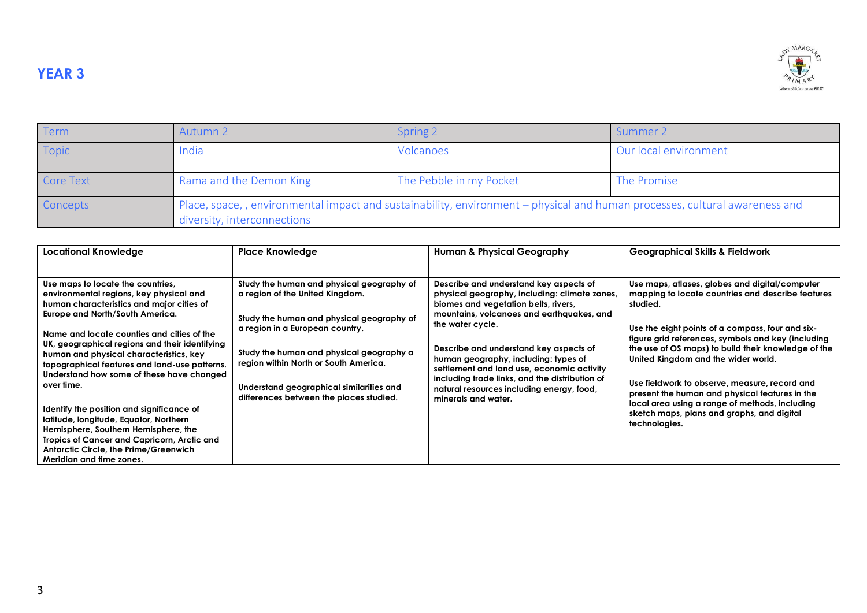



| Term      | Autumn 2                                                                                                                                                   | Spring 2                | Summer 2              |
|-----------|------------------------------------------------------------------------------------------------------------------------------------------------------------|-------------------------|-----------------------|
| Topic     | India                                                                                                                                                      | Volcanoes               | Our local environment |
|           |                                                                                                                                                            |                         |                       |
| Core Text | Rama and the Demon King                                                                                                                                    | The Pebble in my Pocket | The Promise           |
| Concepts  | Place, space, , environmental impact and sustainability, environment – physical and human processes, cultural awareness and<br>diversity, interconnections |                         |                       |

| <b>Locational Knowledge</b>                                                                                                                                                                                                                                                                                                                                                                                                                                                                                                                                                                                                                                            | <b>Place Knowledge</b>                                                                                                                                                                                                                                                                                                                   | <b>Human &amp; Physical Geography</b>                                                                                                                                                                                                                                                                                                                                                                                                                  | <b>Geographical Skills &amp; Fieldwork</b>                                                                                                                                                                                                                                                                                                                                                                                                                                                                                                  |
|------------------------------------------------------------------------------------------------------------------------------------------------------------------------------------------------------------------------------------------------------------------------------------------------------------------------------------------------------------------------------------------------------------------------------------------------------------------------------------------------------------------------------------------------------------------------------------------------------------------------------------------------------------------------|------------------------------------------------------------------------------------------------------------------------------------------------------------------------------------------------------------------------------------------------------------------------------------------------------------------------------------------|--------------------------------------------------------------------------------------------------------------------------------------------------------------------------------------------------------------------------------------------------------------------------------------------------------------------------------------------------------------------------------------------------------------------------------------------------------|---------------------------------------------------------------------------------------------------------------------------------------------------------------------------------------------------------------------------------------------------------------------------------------------------------------------------------------------------------------------------------------------------------------------------------------------------------------------------------------------------------------------------------------------|
| Use maps to locate the countries,<br>environmental regions, key physical and<br>human characteristics and major cities of<br>Europe and North/South America.<br>Name and locate counties and cities of the<br>UK, geographical regions and their identifying<br>human and physical characteristics, key<br>topographical features and land-use patterns.<br>Understand how some of these have changed<br>over time.<br>Identify the position and significance of<br>latitude, longitude, Equator, Northern<br>Hemisphere, Southern Hemisphere, the<br>Tropics of Cancer and Capricorn, Arctic and<br>Antarctic Circle, the Prime/Greenwich<br>Meridian and time zones. | Study the human and physical geography of<br>a region of the United Kingdom.<br>Study the human and physical geography of<br>a region in a European country.<br>Study the human and physical geography a<br>region within North or South America.<br>Understand geographical similarities and<br>differences between the places studied. | Describe and understand key aspects of<br>physical geography, including: climate zones,<br>biomes and vegetation belts, rivers,<br>mountains, volcanoes and earthquakes, and<br>the water cycle.<br>Describe and understand key aspects of<br>human geography, including: types of<br>settlement and land use, economic activity<br>including trade links, and the distribution of<br>natural resources including energy, food,<br>minerals and water. | Use maps, atlases, globes and digital/computer<br>mapping to locate countries and describe features<br>studied.<br>Use the eight points of a compass, four and six-<br>figure grid references, symbols and key (including<br>the use of OS maps) to build their knowledge of the<br>United Kingdom and the wider world.<br>Use fieldwork to observe, measure, record and<br>present the human and physical features in the<br>local area using a range of methods, including<br>sketch maps, plans and graphs, and digital<br>technologies. |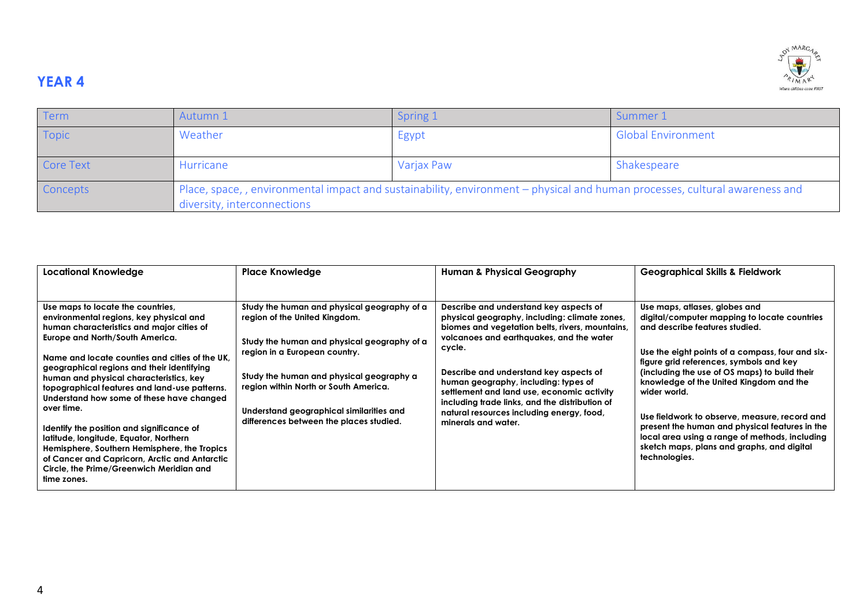

# **YEAR 4**

| <b>Term</b>  | Autumn 1                                                                                                                    | Spring 1   | Summer 1                  |
|--------------|-----------------------------------------------------------------------------------------------------------------------------|------------|---------------------------|
| <b>Topic</b> | Weather                                                                                                                     | Egypt      | <b>Global Environment</b> |
|              |                                                                                                                             |            |                           |
| Core Text    | Hurricane                                                                                                                   | Varjax Paw | Shakespeare               |
| Concepts     | Place, space, , environmental impact and sustainability, environment – physical and human processes, cultural awareness and |            |                           |
|              | diversity, interconnections                                                                                                 |            |                           |

| Locational Knowledge                                                                                                                                                                                                                                                                                                                                                                                                                                                                                                                                                                                                                                                   | <b>Place Knowledge</b>                                                                                                                                                                                                                                                                                                                   | <b>Human &amp; Physical Geography</b>                                                                                                                                                                                                                                                                                                                                                                                                                  | <b>Geographical Skills &amp; Fieldwork</b>                                                                                                                                                                                                                                                                                                                                                                                                                                                                                                     |
|------------------------------------------------------------------------------------------------------------------------------------------------------------------------------------------------------------------------------------------------------------------------------------------------------------------------------------------------------------------------------------------------------------------------------------------------------------------------------------------------------------------------------------------------------------------------------------------------------------------------------------------------------------------------|------------------------------------------------------------------------------------------------------------------------------------------------------------------------------------------------------------------------------------------------------------------------------------------------------------------------------------------|--------------------------------------------------------------------------------------------------------------------------------------------------------------------------------------------------------------------------------------------------------------------------------------------------------------------------------------------------------------------------------------------------------------------------------------------------------|------------------------------------------------------------------------------------------------------------------------------------------------------------------------------------------------------------------------------------------------------------------------------------------------------------------------------------------------------------------------------------------------------------------------------------------------------------------------------------------------------------------------------------------------|
| Use maps to locate the countries,<br>environmental regions, key physical and<br>human characteristics and major cities of<br>Europe and North/South America.<br>Name and locate counties and cities of the UK.<br>geographical regions and their identifying<br>human and physical characteristics, key<br>topographical features and land-use patterns.<br>Understand how some of these have changed<br>over time.<br>Identify the position and significance of<br>latitude, longitude, Equator, Northern<br>Hemisphere, Southern Hemisphere, the Tropics<br>of Cancer and Capricorn, Arctic and Antarctic<br>Circle, the Prime/Greenwich Meridian and<br>time zones. | Study the human and physical geography of a<br>region of the United Kingdom.<br>Study the human and physical geography of a<br>region in a European country.<br>Study the human and physical geography a<br>region within North or South America.<br>Understand geographical similarities and<br>differences between the places studied. | Describe and understand key aspects of<br>physical geography, including: climate zones,<br>biomes and vegetation belts, rivers, mountains,<br>volcanoes and earthquakes, and the water<br>cycle.<br>Describe and understand key aspects of<br>human geography, including: types of<br>settlement and land use, economic activity<br>including trade links, and the distribution of<br>natural resources including energy, food,<br>minerals and water. | Use maps, atlases, globes and<br>digital/computer mapping to locate countries<br>and describe features studied.<br>Use the eight points of a compass, four and six-<br>figure grid references, symbols and key<br>(including the use of OS maps) to build their<br>knowledge of the United Kingdom and the<br>wider world.<br>Use fieldwork to observe, measure, record and<br>present the human and physical features in the<br>local area using a range of methods, including<br>sketch maps, plans and graphs, and digital<br>technologies. |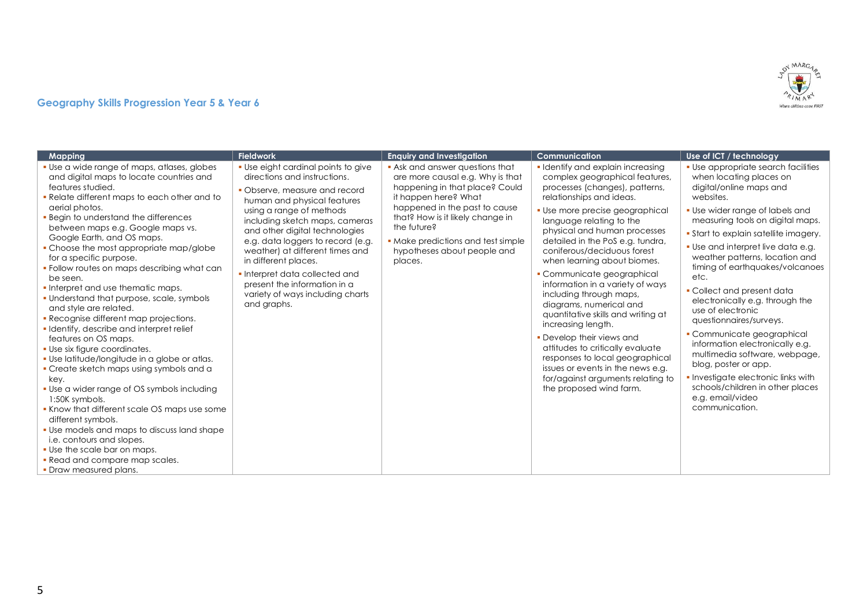

## **Geography Skills Progression Year 5 & Year 6**

| <b>Mapping</b>                                                                                                                                                                                                                                                                                                                                                                                                                                                                                                                                                                                                                                                                                                                                                                                                                                                                                                                                                                                                                                                                                                    | <b>Fieldwork</b>                                                                                                                                                                                                                                                                                                                                                                                                                                         | <b>Enquiry and Investigation</b>                                                                                                                                                                                                                                                                  | Communication                                                                                                                                                                                                                                                                                                                                                                                                                                                                                                                                                                                                                                                                                                                   | Use of ICT / technology                                                                                                                                                                                                                                                                                                                                                                                                                                                                                                                                                                                                                                                                               |
|-------------------------------------------------------------------------------------------------------------------------------------------------------------------------------------------------------------------------------------------------------------------------------------------------------------------------------------------------------------------------------------------------------------------------------------------------------------------------------------------------------------------------------------------------------------------------------------------------------------------------------------------------------------------------------------------------------------------------------------------------------------------------------------------------------------------------------------------------------------------------------------------------------------------------------------------------------------------------------------------------------------------------------------------------------------------------------------------------------------------|----------------------------------------------------------------------------------------------------------------------------------------------------------------------------------------------------------------------------------------------------------------------------------------------------------------------------------------------------------------------------------------------------------------------------------------------------------|---------------------------------------------------------------------------------------------------------------------------------------------------------------------------------------------------------------------------------------------------------------------------------------------------|---------------------------------------------------------------------------------------------------------------------------------------------------------------------------------------------------------------------------------------------------------------------------------------------------------------------------------------------------------------------------------------------------------------------------------------------------------------------------------------------------------------------------------------------------------------------------------------------------------------------------------------------------------------------------------------------------------------------------------|-------------------------------------------------------------------------------------------------------------------------------------------------------------------------------------------------------------------------------------------------------------------------------------------------------------------------------------------------------------------------------------------------------------------------------------------------------------------------------------------------------------------------------------------------------------------------------------------------------------------------------------------------------------------------------------------------------|
| • Use a wide range of maps, atlases, globes<br>and digital maps to locate countries and<br>features studied.<br>• Relate different maps to each other and to<br>aerial photos.<br><b>Begin to understand the differences</b><br>between maps e.g. Google maps vs.<br>Google Earth, and OS maps.<br>• Choose the most appropriate map/globe<br>for a specific purpose.<br>. Follow routes on maps describing what can<br>be seen.<br>. Interpret and use thematic maps.<br>• Understand that purpose, scale, symbols<br>and style are related.<br>• Recognise different map projections.<br>• Identify, describe and interpret relief<br>features on OS maps.<br>• Use six figure coordinates.<br>• Use latitude/longitude in a globe or atlas.<br>• Create sketch maps using symbols and a<br>key.<br>• Use a wider range of OS symbols including<br>1:50K symbols.<br>• Know that different scale OS maps use some<br>different symbols.<br>• Use models and maps to discuss land shape<br>i.e. contours and slopes.<br>• Use the scale bar on maps.<br>• Read and compare map scales.<br>• Draw measured plans. | • Use eight cardinal points to give<br>directions and instructions.<br>• Observe, measure and record<br>human and physical features<br>using a range of methods<br>including sketch maps, cameras<br>and other digital technologies<br>e.g. data loggers to record (e.g.<br>weather) at different times and<br>in different places.<br>• Interpret data collected and<br>present the information in a<br>variety of ways including charts<br>and graphs. | • Ask and answer questions that<br>are more causal e.g. Why is that<br>happening in that place? Could<br>it happen here? What<br>happened in the past to cause<br>that? How is it likely change in<br>the future?<br>• Make predictions and test simple<br>hypotheses about people and<br>places. | • Identify and explain increasing<br>complex geographical features,<br>processes (changes), patterns,<br>relationships and ideas.<br>· Use more precise geographical<br>language relating to the<br>physical and human processes<br>detailed in the PoS e.g. tundra,<br>coniferous/deciduous forest<br>when learning about biomes.<br>• Communicate geographical<br>information in a variety of ways<br>including through maps,<br>diagrams, numerical and<br>quantitative skills and writing at<br>increasing length.<br>• Develop their views and<br>attitudes to critically evaluate<br>responses to local geographical<br>issues or events in the news e.g.<br>for/against arguments relating to<br>the proposed wind farm. | • Use appropriate search facilities<br>when locating places on<br>digital/online maps and<br>websites.<br>• Use wider range of labels and<br>measuring tools on digital maps.<br>• Start to explain satellite imagery.<br>• Use and interpret live data e.g.<br>weather patterns, location and<br>timing of earthquakes/volcanoes<br>etc.<br>• Collect and present data<br>electronically e.g. through the<br>use of electronic<br>questionnaires/surveys.<br>• Communicate geographical<br>information electronically e.g.<br>multimedia software, webpage,<br>blog, poster or app.<br>. Investigate electronic links with<br>schools/children in other places<br>e.g. email/video<br>communication. |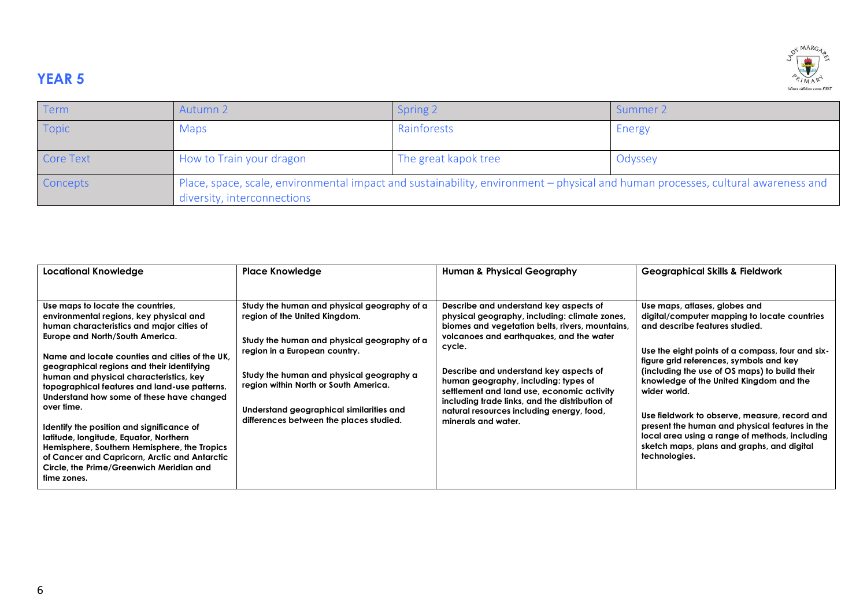

# **YEAR 5**

| Term         | Autumn 2                                                                                                                         | Spring 2             | Summer 2 |
|--------------|----------------------------------------------------------------------------------------------------------------------------------|----------------------|----------|
| <b>Topic</b> | <b>Maps</b>                                                                                                                      | Rainforests          | Energy   |
|              |                                                                                                                                  |                      |          |
| Core Text    | How to Train your dragon                                                                                                         | The great kapok tree | Odyssey  |
| Concepts     | Place, space, scale, environmental impact and sustainability, environment - physical and human processes, cultural awareness and |                      |          |
|              | diversity, interconnections                                                                                                      |                      |          |

| <b>Locational Knowledge</b>                                                                                                                                                                                                                                                                                                                                                                                                                                                                                                                                                                                                                                            | <b>Place Knowledge</b>                                                                                                                                                                                                                                                                                                                   | <b>Human &amp; Physical Geography</b>                                                                                                                                                                                                                                                                                                                                                                                                                  | <b>Geographical Skills &amp; Fieldwork</b>                                                                                                                                                                                                                                                                                                                                                                                                                                                                                                     |
|------------------------------------------------------------------------------------------------------------------------------------------------------------------------------------------------------------------------------------------------------------------------------------------------------------------------------------------------------------------------------------------------------------------------------------------------------------------------------------------------------------------------------------------------------------------------------------------------------------------------------------------------------------------------|------------------------------------------------------------------------------------------------------------------------------------------------------------------------------------------------------------------------------------------------------------------------------------------------------------------------------------------|--------------------------------------------------------------------------------------------------------------------------------------------------------------------------------------------------------------------------------------------------------------------------------------------------------------------------------------------------------------------------------------------------------------------------------------------------------|------------------------------------------------------------------------------------------------------------------------------------------------------------------------------------------------------------------------------------------------------------------------------------------------------------------------------------------------------------------------------------------------------------------------------------------------------------------------------------------------------------------------------------------------|
| Use maps to locate the countries.<br>environmental regions, key physical and<br>human characteristics and major cities of<br>Europe and North/South America.<br>Name and locate counties and cities of the UK.<br>geographical regions and their identifying<br>human and physical characteristics, key<br>topographical features and land-use patterns.<br>Understand how some of these have changed<br>over time.<br>Identify the position and significance of<br>latitude, longitude, Equator, Northern<br>Hemisphere, Southern Hemisphere, the Tropics<br>of Cancer and Capricorn, Arctic and Antarctic<br>Circle, the Prime/Greenwich Meridian and<br>time zones. | Study the human and physical geography of a<br>region of the United Kingdom.<br>Study the human and physical geography of a<br>region in a European country.<br>Study the human and physical geography a<br>region within North or South America.<br>Understand geographical similarities and<br>differences between the places studied. | Describe and understand key aspects of<br>physical geography, including: climate zones,<br>biomes and vegetation belts, rivers, mountains,<br>volcanoes and earthquakes, and the water<br>cycle.<br>Describe and understand key aspects of<br>human geography, including: types of<br>settlement and land use, economic activity<br>including trade links, and the distribution of<br>natural resources including energy, food,<br>minerals and water. | Use maps, atlases, globes and<br>digital/computer mapping to locate countries<br>and describe features studied.<br>Use the eight points of a compass, four and six-<br>figure grid references, symbols and key<br>(including the use of OS maps) to build their<br>knowledge of the United Kingdom and the<br>wider world.<br>Use fieldwork to observe, measure, record and<br>present the human and physical features in the<br>local area using a range of methods, including<br>sketch maps, plans and graphs, and digital<br>technologies. |